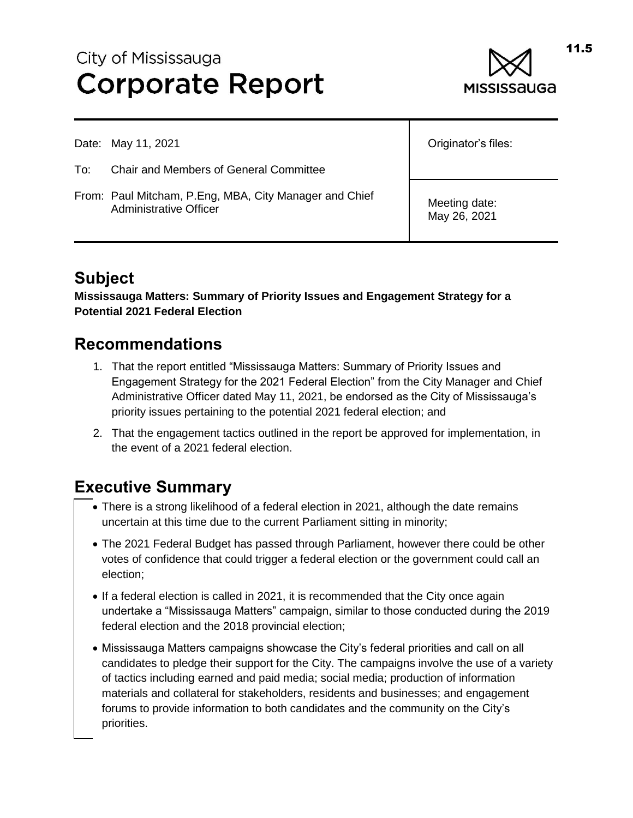# City of Mississauga **Corporate Report**



|     | Date: May 11, 2021                                                               | Originator's files:           |
|-----|----------------------------------------------------------------------------------|-------------------------------|
| To: | <b>Chair and Members of General Committee</b>                                    |                               |
|     | From: Paul Mitcham, P.Eng, MBA, City Manager and Chief<br>Administrative Officer | Meeting date:<br>May 26, 2021 |

## **Subject**

**Mississauga Matters: Summary of Priority Issues and Engagement Strategy for a Potential 2021 Federal Election**

## **Recommendations**

- 1. That the report entitled "Mississauga Matters: Summary of Priority Issues and Engagement Strategy for the 2021 Federal Election" from the City Manager and Chief Administrative Officer dated May 11, 2021, be endorsed as the City of Mississauga's priority issues pertaining to the potential 2021 federal election; and
- 2. That the engagement tactics outlined in the report be approved for implementation, in the event of a 2021 federal election.

## **Executive Summary**

- There is a strong likelihood of a federal election in 2021, although the date remains uncertain at this time due to the current Parliament sitting in minority;
- The 2021 Federal Budget has passed through Parliament, however there could be other votes of confidence that could trigger a federal election or the government could call an election;
- If a federal election is called in 2021, it is recommended that the City once again undertake a "Mississauga Matters" campaign, similar to those conducted during the 2019 federal election and the 2018 provincial election;
- Mississauga Matters campaigns showcase the City's federal priorities and call on all candidates to pledge their support for the City. The campaigns involve the use of a variety of tactics including earned and paid media; social media; production of information materials and collateral for stakeholders, residents and businesses; and engagement forums to provide information to both candidates and the community on the City's priorities.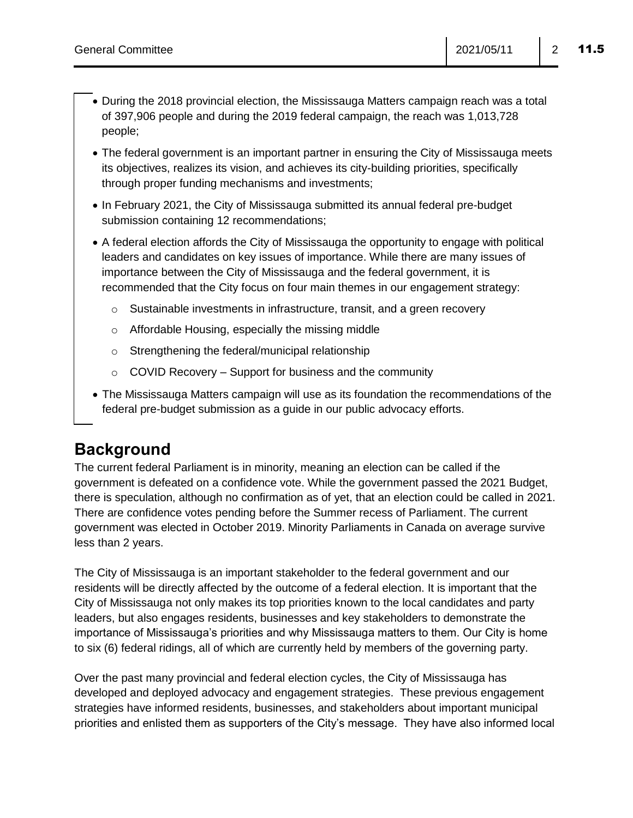- During the 2018 provincial election, the Mississauga Matters campaign reach was a total of 397,906 people and during the 2019 federal campaign, the reach was 1,013,728 people;
- The federal government is an important partner in ensuring the City of Mississauga meets its objectives, realizes its vision, and achieves its city-building priorities, specifically through proper funding mechanisms and investments;
- In February 2021, the City of Mississauga submitted its annual federal pre-budget submission containing 12 recommendations;
- A federal election affords the City of Mississauga the opportunity to engage with political leaders and candidates on key issues of importance. While there are many issues of importance between the City of Mississauga and the federal government, it is recommended that the City focus on four main themes in our engagement strategy:
	- $\circ$  Sustainable investments in infrastructure, transit, and a green recovery
	- o Affordable Housing, especially the missing middle
	- o Strengthening the federal/municipal relationship
	- $\circ$  COVID Recovery Support for business and the community
- The Mississauga Matters campaign will use as its foundation the recommendations of the federal pre-budget submission as a guide in our public advocacy efforts.

## **Background**

The current federal Parliament is in minority, meaning an election can be called if the government is defeated on a confidence vote. While the government passed the 2021 Budget, there is speculation, although no confirmation as of yet, that an election could be called in 2021. There are confidence votes pending before the Summer recess of Parliament. The current government was elected in October 2019. Minority Parliaments in Canada on average survive less than 2 years.

The City of Mississauga is an important stakeholder to the federal government and our residents will be directly affected by the outcome of a federal election. It is important that the City of Mississauga not only makes its top priorities known to the local candidates and party leaders, but also engages residents, businesses and key stakeholders to demonstrate the importance of Mississauga's priorities and why Mississauga matters to them. Our City is home to six (6) federal ridings, all of which are currently held by members of the governing party.

Over the past many provincial and federal election cycles, the City of Mississauga has developed and deployed advocacy and engagement strategies. These previous engagement strategies have informed residents, businesses, and stakeholders about important municipal priorities and enlisted them as supporters of the City's message. They have also informed local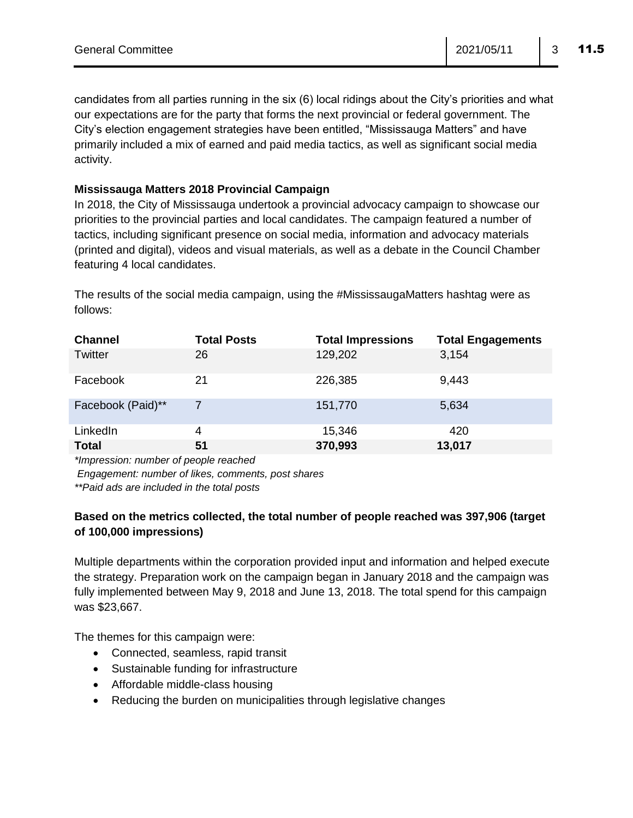candidates from all parties running in the six (6) local ridings about the City's priorities and what our expectations are for the party that forms the next provincial or federal government. The City's election engagement strategies have been entitled, "Mississauga Matters" and have primarily included a mix of earned and paid media tactics, as well as significant social media activity.

#### **Mississauga Matters 2018 Provincial Campaign**

In 2018, the City of Mississauga undertook a provincial advocacy campaign to showcase our priorities to the provincial parties and local candidates. The campaign featured a number of tactics, including significant presence on social media, information and advocacy materials (printed and digital), videos and visual materials, as well as a debate in the Council Chamber featuring 4 local candidates.

The results of the social media campaign, using the #MississaugaMatters hashtag were as follows:

| <b>Channel</b>    | <b>Total Posts</b> | <b>Total Impressions</b> | <b>Total Engagements</b> |
|-------------------|--------------------|--------------------------|--------------------------|
| Twitter           | 26                 | 129,202                  | 3,154                    |
| Facebook          | 21                 | 226,385                  | 9,443                    |
| Facebook (Paid)** | 7                  | 151,770                  | 5,634                    |
| LinkedIn          | 4                  | 15,346                   | 420                      |
| <b>Total</b>      | 51                 | 370,993                  | 13,017                   |

*\*Impression: number of people reached* 

*Engagement: number of likes, comments, post shares*

*\*\*Paid ads are included in the total posts*

#### **Based on the metrics collected, the total number of people reached was 397,906 (target of 100,000 impressions)**

Multiple departments within the corporation provided input and information and helped execute the strategy. Preparation work on the campaign began in January 2018 and the campaign was fully implemented between May 9, 2018 and June 13, 2018. The total spend for this campaign was \$23,667.

The themes for this campaign were:

- Connected, seamless, rapid transit
- Sustainable funding for infrastructure
- Affordable middle-class housing
- Reducing the burden on municipalities through legislative changes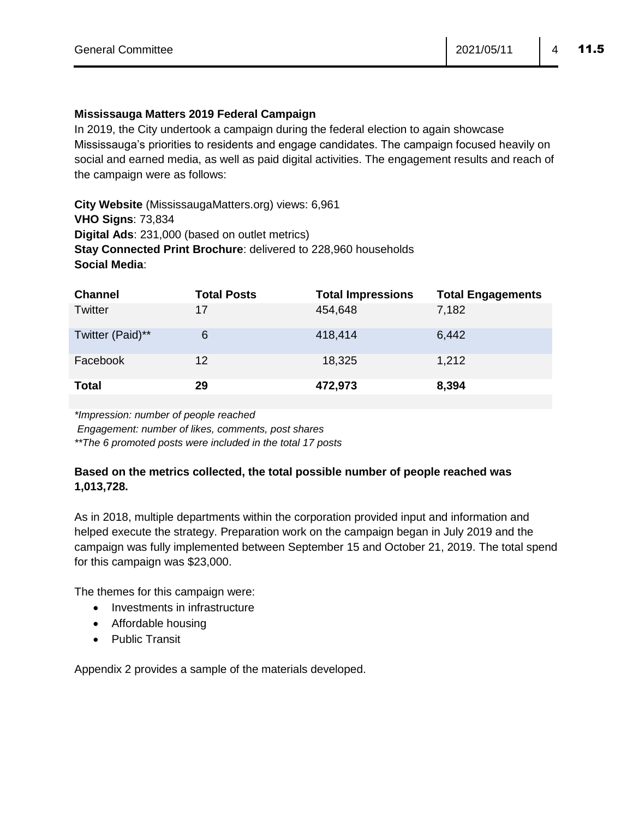#### **Mississauga Matters 2019 Federal Campaign**

In 2019, the City undertook a campaign during the federal election to again showcase Mississauga's priorities to residents and engage candidates. The campaign focused heavily on social and earned media, as well as paid digital activities. The engagement results and reach of the campaign were as follows:

**City Website** (MississaugaMatters.org) views: 6,961 **VHO Signs**: 73,834 **Digital Ads**: 231,000 (based on outlet metrics) **Stay Connected Print Brochure**: delivered to 228,960 households **Social Media**:

| <b>Channel</b>   | <b>Total Posts</b> | <b>Total Impressions</b> | <b>Total Engagements</b> |
|------------------|--------------------|--------------------------|--------------------------|
| Twitter          | 17                 | 454,648                  | 7,182                    |
| Twitter (Paid)** | 6                  | 418,414                  | 6,442                    |
| Facebook         | 12                 | 18,325                   | 1,212                    |
| <b>Total</b>     | 29                 | 472,973                  | 8,394                    |

*\*Impression: number of people reached* 

*Engagement: number of likes, comments, post shares*

*\*\*The 6 promoted posts were included in the total 17 posts*

#### **Based on the metrics collected, the total possible number of people reached was 1,013,728.**

As in 2018, multiple departments within the corporation provided input and information and helped execute the strategy. Preparation work on the campaign began in July 2019 and the campaign was fully implemented between September 15 and October 21, 2019. The total spend for this campaign was \$23,000.

The themes for this campaign were:

- Investments in infrastructure
- Affordable housing
- Public Transit

Appendix 2 provides a sample of the materials developed.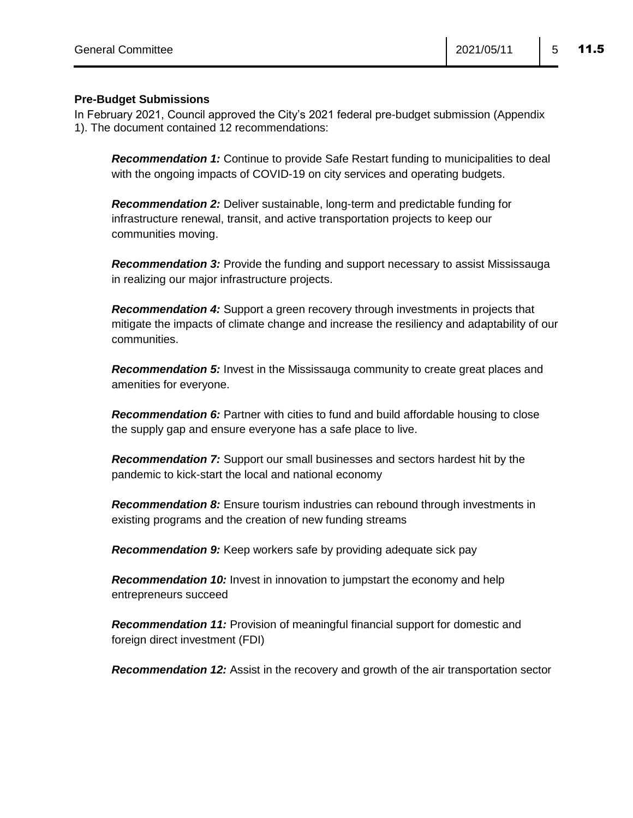### **Pre-Budget Submissions**

In February 2021, Council approved the City's 2021 federal pre-budget submission (Appendix 1). The document contained 12 recommendations:

*Recommendation 1:* Continue to provide Safe Restart funding to municipalities to deal with the ongoing impacts of COVID-19 on city services and operating budgets.

*Recommendation 2:* Deliver sustainable, long-term and predictable funding for infrastructure renewal, transit, and active transportation projects to keep our communities moving.

*Recommendation 3:* Provide the funding and support necessary to assist Mississauga in realizing our major infrastructure projects.

*Recommendation 4:* Support a green recovery through investments in projects that mitigate the impacts of climate change and increase the resiliency and adaptability of our communities.

**Recommendation 5:** Invest in the Mississauga community to create great places and amenities for everyone.

**Recommendation 6:** Partner with cities to fund and build affordable housing to close the supply gap and ensure everyone has a safe place to live.

*Recommendation 7:* Support our small businesses and sectors hardest hit by the pandemic to kick-start the local and national economy

*Recommendation 8:* Ensure tourism industries can rebound through investments in existing programs and the creation of new funding streams

*Recommendation 9:* Keep workers safe by providing adequate sick pay

*Recommendation 10:* Invest in innovation to jumpstart the economy and help entrepreneurs succeed

*Recommendation 11:* Provision of meaningful financial support for domestic and foreign direct investment (FDI)

**Recommendation 12:** Assist in the recovery and growth of the air transportation sector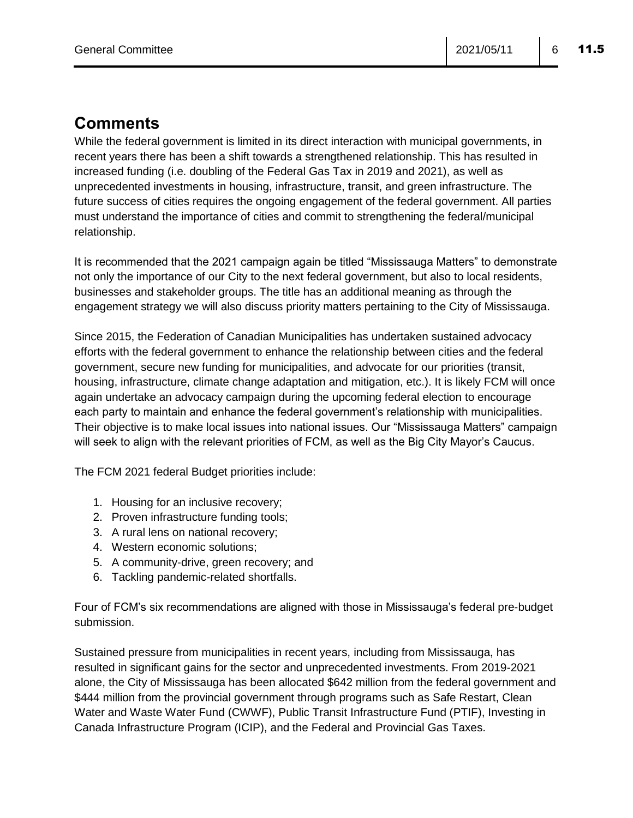## **Comments**

While the federal government is limited in its direct interaction with municipal governments, in recent years there has been a shift towards a strengthened relationship. This has resulted in increased funding (i.e. doubling of the Federal Gas Tax in 2019 and 2021), as well as unprecedented investments in housing, infrastructure, transit, and green infrastructure. The future success of cities requires the ongoing engagement of the federal government. All parties must understand the importance of cities and commit to strengthening the federal/municipal relationship.

It is recommended that the 2021 campaign again be titled "Mississauga Matters" to demonstrate not only the importance of our City to the next federal government, but also to local residents, businesses and stakeholder groups. The title has an additional meaning as through the engagement strategy we will also discuss priority matters pertaining to the City of Mississauga.

Since 2015, the Federation of Canadian Municipalities has undertaken sustained advocacy efforts with the federal government to enhance the relationship between cities and the federal government, secure new funding for municipalities, and advocate for our priorities (transit, housing, infrastructure, climate change adaptation and mitigation, etc.). It is likely FCM will once again undertake an advocacy campaign during the upcoming federal election to encourage each party to maintain and enhance the federal government's relationship with municipalities. Their objective is to make local issues into national issues. Our "Mississauga Matters" campaign will seek to align with the relevant priorities of FCM, as well as the Big City Mayor's Caucus.

The FCM 2021 federal Budget priorities include:

- 1. Housing for an inclusive recovery;
- 2. Proven infrastructure funding tools;
- 3. A rural lens on national recovery;
- 4. Western economic solutions;
- 5. A community-drive, green recovery; and
- 6. Tackling pandemic-related shortfalls.

Four of FCM's six recommendations are aligned with those in Mississauga's federal pre-budget submission.

Sustained pressure from municipalities in recent years, including from Mississauga, has resulted in significant gains for the sector and unprecedented investments. From 2019-2021 alone, the City of Mississauga has been allocated \$642 million from the federal government and \$444 million from the provincial government through programs such as Safe Restart, Clean Water and Waste Water Fund (CWWF), Public Transit Infrastructure Fund (PTIF), Investing in Canada Infrastructure Program (ICIP), and the Federal and Provincial Gas Taxes.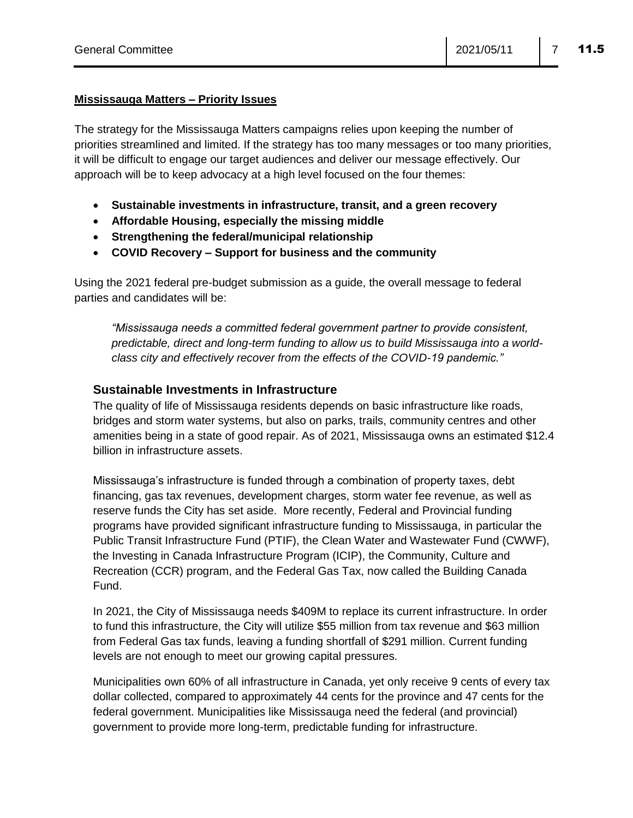#### **Mississauga Matters – Priority Issues**

The strategy for the Mississauga Matters campaigns relies upon keeping the number of priorities streamlined and limited. If the strategy has too many messages or too many priorities, it will be difficult to engage our target audiences and deliver our message effectively. Our approach will be to keep advocacy at a high level focused on the four themes:

- **Sustainable investments in infrastructure, transit, and a green recovery**
- **Affordable Housing, especially the missing middle**
- **Strengthening the federal/municipal relationship**
- **COVID Recovery – Support for business and the community**

Using the 2021 federal pre-budget submission as a guide, the overall message to federal parties and candidates will be:

*"Mississauga needs a committed federal government partner to provide consistent, predictable, direct and long-term funding to allow us to build Mississauga into a worldclass city and effectively recover from the effects of the COVID-19 pandemic."* 

#### **Sustainable Investments in Infrastructure**

The quality of life of Mississauga residents depends on basic infrastructure like roads, bridges and storm water systems, but also on parks, trails, community centres and other amenities being in a state of good repair. As of 2021, Mississauga owns an estimated \$12.4 billion in infrastructure assets.

Mississauga's infrastructure is funded through a combination of property taxes, debt financing, gas tax revenues, development charges, storm water fee revenue, as well as reserve funds the City has set aside. More recently, Federal and Provincial funding programs have provided significant infrastructure funding to Mississauga, in particular the Public Transit Infrastructure Fund (PTIF), the Clean Water and Wastewater Fund (CWWF), the Investing in Canada Infrastructure Program (ICIP), the Community, Culture and Recreation (CCR) program, and the Federal Gas Tax, now called the Building Canada Fund.

In 2021, the City of Mississauga needs \$409M to replace its current infrastructure. In order to fund this infrastructure, the City will utilize \$55 million from tax revenue and \$63 million from Federal Gas tax funds, leaving a funding shortfall of \$291 million. Current funding levels are not enough to meet our growing capital pressures.

Municipalities own 60% of all infrastructure in Canada, yet only receive 9 cents of every tax dollar collected, compared to approximately 44 cents for the province and 47 cents for the federal government. Municipalities like Mississauga need the federal (and provincial) government to provide more long-term, predictable funding for infrastructure.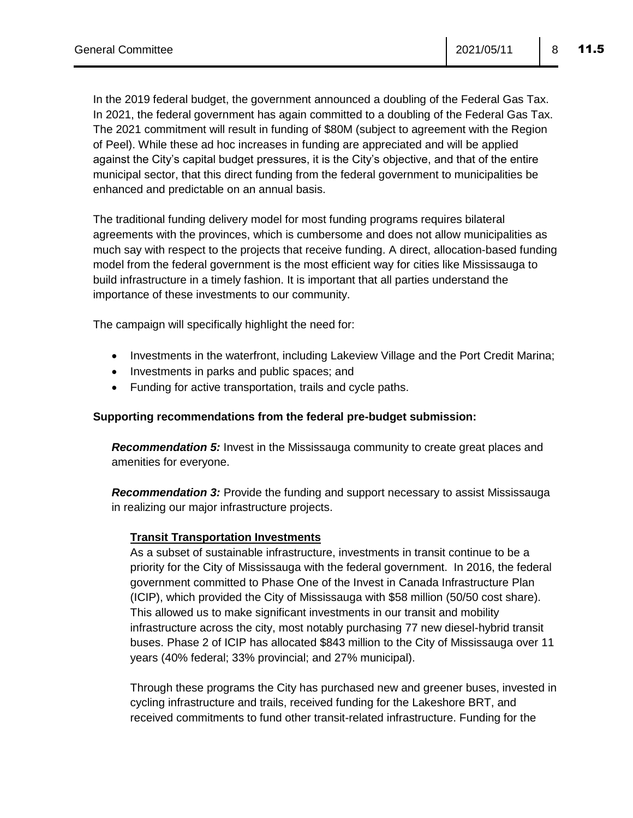In the 2019 federal budget, the government announced a doubling of the Federal Gas Tax. In 2021, the federal government has again committed to a doubling of the Federal Gas Tax. The 2021 commitment will result in funding of \$80M (subject to agreement with the Region of Peel). While these ad hoc increases in funding are appreciated and will be applied against the City's capital budget pressures, it is the City's objective, and that of the entire municipal sector, that this direct funding from the federal government to municipalities be enhanced and predictable on an annual basis.

The traditional funding delivery model for most funding programs requires bilateral agreements with the provinces, which is cumbersome and does not allow municipalities as much say with respect to the projects that receive funding. A direct, allocation-based funding model from the federal government is the most efficient way for cities like Mississauga to build infrastructure in a timely fashion. It is important that all parties understand the importance of these investments to our community.

The campaign will specifically highlight the need for:

- Investments in the waterfront, including Lakeview Village and the Port Credit Marina;
- Investments in parks and public spaces; and
- Funding for active transportation, trails and cycle paths.

#### **Supporting recommendations from the federal pre-budget submission:**

*Recommendation 5:* Invest in the Mississauga community to create great places and amenities for everyone.

*Recommendation 3:* Provide the funding and support necessary to assist Mississauga in realizing our major infrastructure projects.

#### **Transit Transportation Investments**

As a subset of sustainable infrastructure, investments in transit continue to be a priority for the City of Mississauga with the federal government. In 2016, the federal government committed to Phase One of the Invest in Canada Infrastructure Plan (ICIP), which provided the City of Mississauga with \$58 million (50/50 cost share). This allowed us to make significant investments in our transit and mobility infrastructure across the city, most notably purchasing 77 new diesel-hybrid transit buses. Phase 2 of ICIP has allocated \$843 million to the City of Mississauga over 11 years (40% federal; 33% provincial; and 27% municipal).

Through these programs the City has purchased new and greener buses, invested in cycling infrastructure and trails, received funding for the Lakeshore BRT, and received commitments to fund other transit-related infrastructure. Funding for the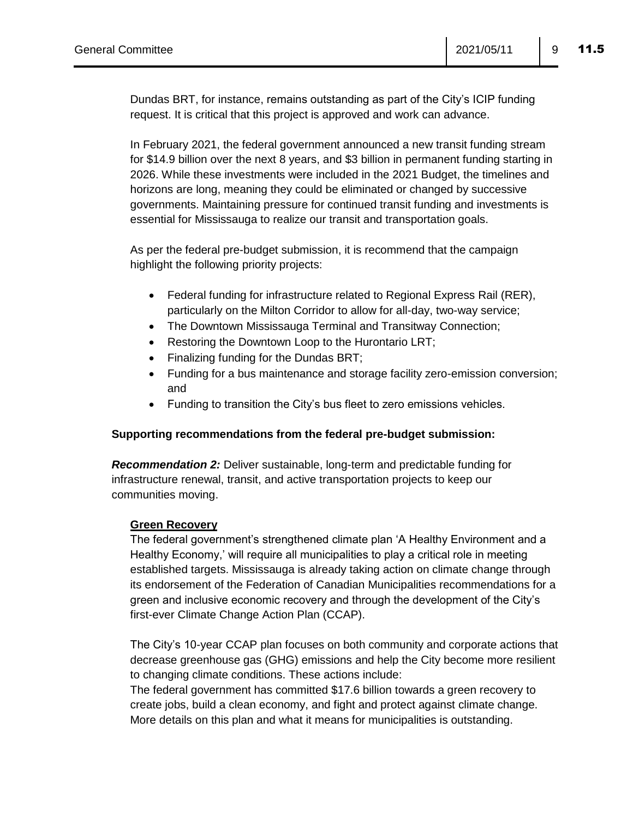Dundas BRT, for instance, remains outstanding as part of the City's ICIP funding request. It is critical that this project is approved and work can advance.

In February 2021, the federal government announced a new transit funding stream for \$14.9 billion over the next 8 years, and \$3 billion in permanent funding starting in 2026. While these investments were included in the 2021 Budget, the timelines and horizons are long, meaning they could be eliminated or changed by successive governments. Maintaining pressure for continued transit funding and investments is essential for Mississauga to realize our transit and transportation goals.

As per the federal pre-budget submission, it is recommend that the campaign highlight the following priority projects:

- Federal funding for infrastructure related to Regional Express Rail (RER), particularly on the Milton Corridor to allow for all-day, two-way service;
- The Downtown Mississauga Terminal and Transitway Connection;
- Restoring the Downtown Loop to the Hurontario LRT;
- Finalizing funding for the Dundas BRT;
- Funding for a bus maintenance and storage facility zero-emission conversion; and
- Funding to transition the City's bus fleet to zero emissions vehicles.

#### **Supporting recommendations from the federal pre-budget submission:**

*Recommendation 2:* Deliver sustainable, long-term and predictable funding for infrastructure renewal, transit, and active transportation projects to keep our communities moving.

#### **Green Recovery**

The federal government's strengthened climate plan 'A Healthy Environment and a Healthy Economy,' will require all municipalities to play a critical role in meeting established targets. Mississauga is already taking action on climate change through its endorsement of the Federation of Canadian Municipalities recommendations for a green and inclusive economic recovery and through the development of the City's first-ever Climate Change Action Plan (CCAP).

The City's 10-year CCAP plan focuses on both community and corporate actions that decrease greenhouse gas (GHG) emissions and help the City become more resilient to changing climate conditions. These actions include:

The federal government has committed \$17.6 billion towards a green recovery to create jobs, build a clean economy, and fight and protect against climate change. More details on this plan and what it means for municipalities is outstanding.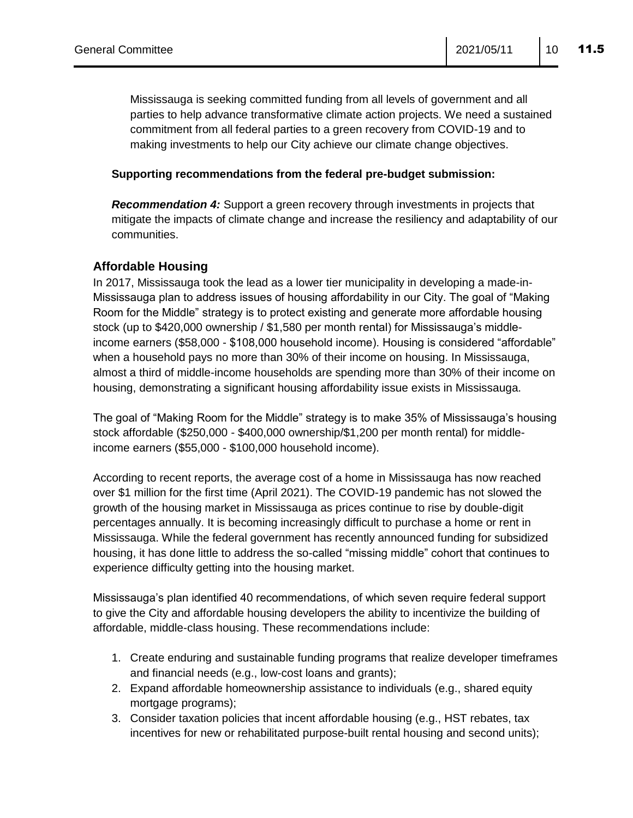Mississauga is seeking committed funding from all levels of government and all parties to help advance transformative climate action projects. We need a sustained commitment from all federal parties to a green recovery from COVID-19 and to making investments to help our City achieve our climate change objectives.

#### **Supporting recommendations from the federal pre-budget submission:**

*Recommendation 4:* Support a green recovery through investments in projects that mitigate the impacts of climate change and increase the resiliency and adaptability of our communities.

#### **Affordable Housing**

In 2017, Mississauga took the lead as a lower tier municipality in developing a made-in-Mississauga plan to address issues of housing affordability in our City. The goal of "Making Room for the Middle" strategy is to protect existing and generate more affordable housing stock (up to \$420,000 ownership / \$1,580 per month rental) for Mississauga's middleincome earners (\$58,000 - \$108,000 household income). Housing is considered "affordable" when a household pays no more than 30% of their income on housing. In Mississauga, almost a third of middle-income households are spending more than 30% of their income on housing, demonstrating a significant housing affordability issue exists in Mississauga.

The goal of "Making Room for the Middle" strategy is to make 35% of Mississauga's housing stock affordable (\$250,000 - \$400,000 ownership/\$1,200 per month rental) for middleincome earners (\$55,000 - \$100,000 household income).

According to recent reports, the average cost of a home in Mississauga has now reached over \$1 million for the first time (April 2021). The COVID-19 pandemic has not slowed the growth of the housing market in Mississauga as prices continue to rise by double-digit percentages annually. It is becoming increasingly difficult to purchase a home or rent in Mississauga. While the federal government has recently announced funding for subsidized housing, it has done little to address the so-called "missing middle" cohort that continues to experience difficulty getting into the housing market.

Mississauga's plan identified 40 recommendations, of which seven require federal support to give the City and affordable housing developers the ability to incentivize the building of affordable, middle-class housing. These recommendations include:

- 1. Create enduring and sustainable funding programs that realize developer timeframes and financial needs (e.g., low-cost loans and grants);
- 2. Expand affordable homeownership assistance to individuals (e.g., shared equity mortgage programs);
- 3. Consider taxation policies that incent affordable housing (e.g., HST rebates, tax incentives for new or rehabilitated purpose-built rental housing and second units);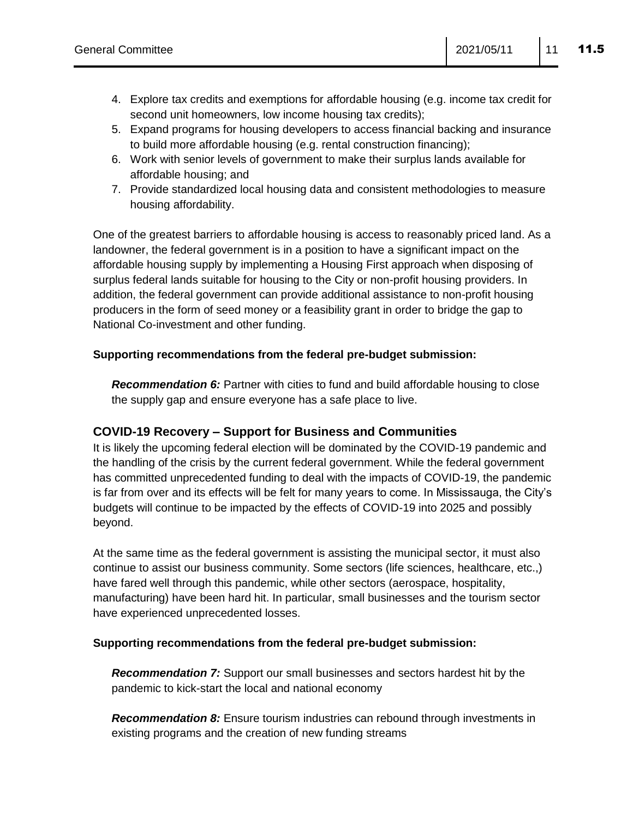- 4. Explore tax credits and exemptions for affordable housing (e.g. income tax credit for second unit homeowners, low income housing tax credits);
- 5. Expand programs for housing developers to access financial backing and insurance to build more affordable housing (e.g. rental construction financing);
- 6. Work with senior levels of government to make their surplus lands available for affordable housing; and
- 7. Provide standardized local housing data and consistent methodologies to measure housing affordability.

One of the greatest barriers to affordable housing is access to reasonably priced land. As a landowner, the federal government is in a position to have a significant impact on the affordable housing supply by implementing a Housing First approach when disposing of surplus federal lands suitable for housing to the City or non-profit housing providers. In addition, the federal government can provide additional assistance to non-profit housing producers in the form of seed money or a feasibility grant in order to bridge the gap to National Co-investment and other funding.

#### **Supporting recommendations from the federal pre-budget submission:**

*Recommendation 6:* Partner with cities to fund and build affordable housing to close the supply gap and ensure everyone has a safe place to live.

### **COVID-19 Recovery – Support for Business and Communities**

It is likely the upcoming federal election will be dominated by the COVID-19 pandemic and the handling of the crisis by the current federal government. While the federal government has committed unprecedented funding to deal with the impacts of COVID-19, the pandemic is far from over and its effects will be felt for many years to come. In Mississauga, the City's budgets will continue to be impacted by the effects of COVID-19 into 2025 and possibly beyond.

At the same time as the federal government is assisting the municipal sector, it must also continue to assist our business community. Some sectors (life sciences, healthcare, etc.,) have fared well through this pandemic, while other sectors (aerospace, hospitality, manufacturing) have been hard hit. In particular, small businesses and the tourism sector have experienced unprecedented losses.

#### **Supporting recommendations from the federal pre-budget submission:**

*Recommendation 7:* Support our small businesses and sectors hardest hit by the pandemic to kick-start the local and national economy

*Recommendation 8:* Ensure tourism industries can rebound through investments in existing programs and the creation of new funding streams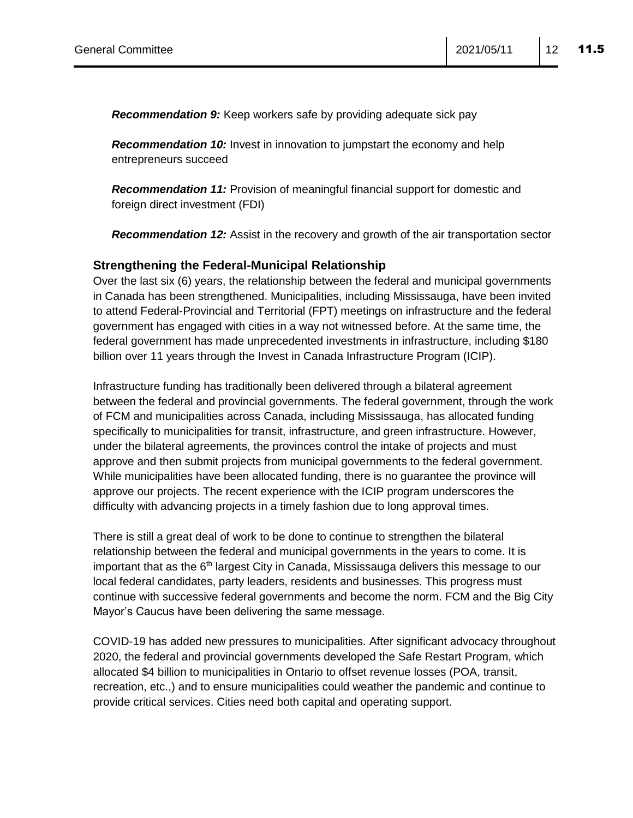*Recommendation 9:* Keep workers safe by providing adequate sick pay

*Recommendation 10:* Invest in innovation to jumpstart the economy and help entrepreneurs succeed

*Recommendation 11:* Provision of meaningful financial support for domestic and foreign direct investment (FDI)

*Recommendation 12:* Assist in the recovery and growth of the air transportation sector

#### **Strengthening the Federal-Municipal Relationship**

Over the last six (6) years, the relationship between the federal and municipal governments in Canada has been strengthened. Municipalities, including Mississauga, have been invited to attend Federal-Provincial and Territorial (FPT) meetings on infrastructure and the federal government has engaged with cities in a way not witnessed before. At the same time, the federal government has made unprecedented investments in infrastructure, including \$180 billion over 11 years through the Invest in Canada Infrastructure Program (ICIP).

Infrastructure funding has traditionally been delivered through a bilateral agreement between the federal and provincial governments. The federal government, through the work of FCM and municipalities across Canada, including Mississauga, has allocated funding specifically to municipalities for transit, infrastructure, and green infrastructure. However, under the bilateral agreements, the provinces control the intake of projects and must approve and then submit projects from municipal governments to the federal government. While municipalities have been allocated funding, there is no guarantee the province will approve our projects. The recent experience with the ICIP program underscores the difficulty with advancing projects in a timely fashion due to long approval times.

There is still a great deal of work to be done to continue to strengthen the bilateral relationship between the federal and municipal governments in the years to come. It is important that as the  $6<sup>th</sup>$  largest City in Canada, Mississauga delivers this message to our local federal candidates, party leaders, residents and businesses. This progress must continue with successive federal governments and become the norm. FCM and the Big City Mayor's Caucus have been delivering the same message.

COVID-19 has added new pressures to municipalities. After significant advocacy throughout 2020, the federal and provincial governments developed the Safe Restart Program, which allocated \$4 billion to municipalities in Ontario to offset revenue losses (POA, transit, recreation, etc.,) and to ensure municipalities could weather the pandemic and continue to provide critical services. Cities need both capital and operating support.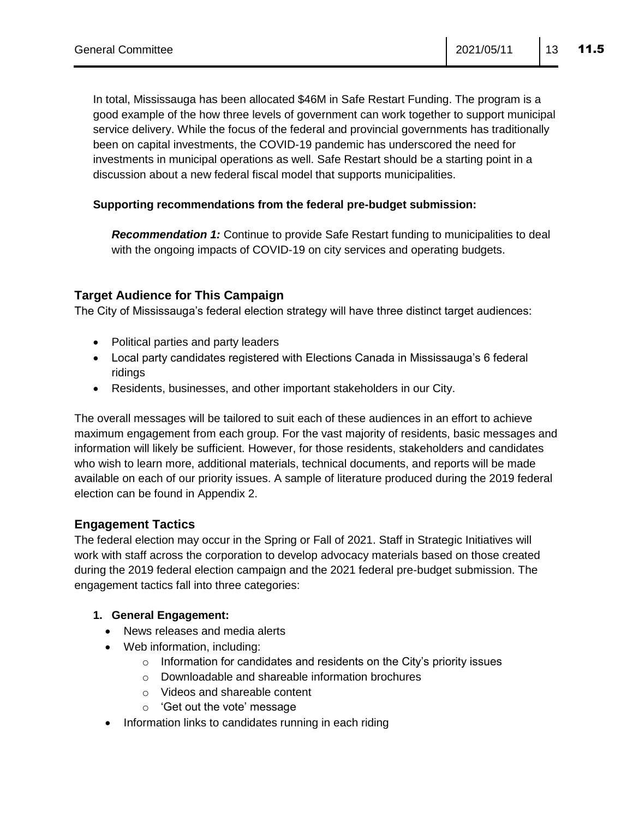In total, Mississauga has been allocated \$46M in Safe Restart Funding. The program is a good example of the how three levels of government can work together to support municipal service delivery. While the focus of the federal and provincial governments has traditionally been on capital investments, the COVID-19 pandemic has underscored the need for investments in municipal operations as well. Safe Restart should be a starting point in a discussion about a new federal fiscal model that supports municipalities.

#### **Supporting recommendations from the federal pre-budget submission:**

*Recommendation 1:* Continue to provide Safe Restart funding to municipalities to deal with the ongoing impacts of COVID-19 on city services and operating budgets.

#### **Target Audience for This Campaign**

The City of Mississauga's federal election strategy will have three distinct target audiences:

- Political parties and party leaders
- Local party candidates registered with Elections Canada in Mississauga's 6 federal ridings
- Residents, businesses, and other important stakeholders in our City.

The overall messages will be tailored to suit each of these audiences in an effort to achieve maximum engagement from each group. For the vast majority of residents, basic messages and information will likely be sufficient. However, for those residents, stakeholders and candidates who wish to learn more, additional materials, technical documents, and reports will be made available on each of our priority issues. A sample of literature produced during the 2019 federal election can be found in Appendix 2.

#### **Engagement Tactics**

The federal election may occur in the Spring or Fall of 2021. Staff in Strategic Initiatives will work with staff across the corporation to develop advocacy materials based on those created during the 2019 federal election campaign and the 2021 federal pre-budget submission. The engagement tactics fall into three categories:

#### **1. General Engagement:**

- News releases and media alerts
- Web information, including:
	- $\circ$  Information for candidates and residents on the City's priority issues
	- o Downloadable and shareable information brochures
	- o Videos and shareable content
	- o 'Get out the vote' message
- Information links to candidates running in each riding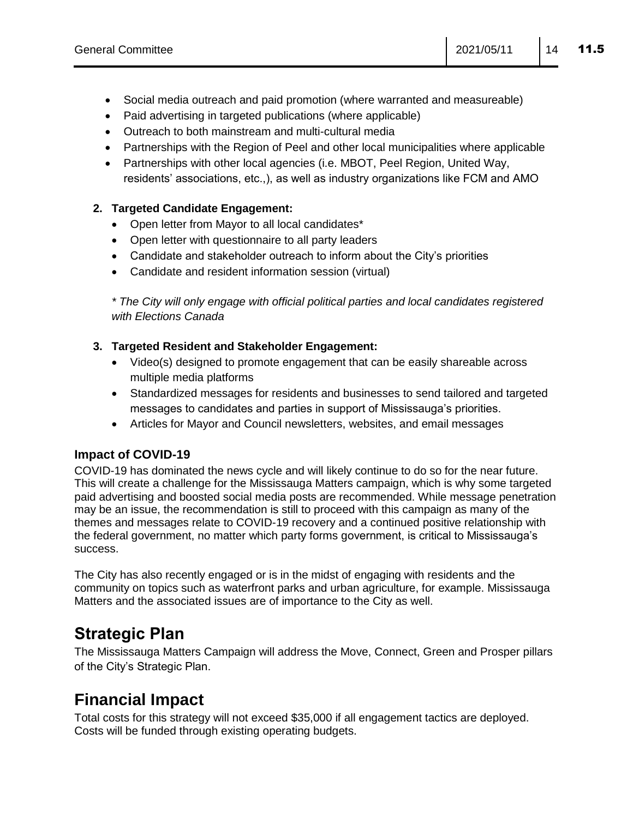- Social media outreach and paid promotion (where warranted and measureable)
- Paid advertising in targeted publications (where applicable)
- Outreach to both mainstream and multi-cultural media
- Partnerships with the Region of Peel and other local municipalities where applicable
- Partnerships with other local agencies (i.e. MBOT, Peel Region, United Way, residents' associations, etc.,), as well as industry organizations like FCM and AMO

#### **2. Targeted Candidate Engagement:**

- Open letter from Mayor to all local candidates\*
- Open letter with questionnaire to all party leaders
- Candidate and stakeholder outreach to inform about the City's priorities
- Candidate and resident information session (virtual)

*\* The City will only engage with official political parties and local candidates registered with Elections Canada* 

#### **3. Targeted Resident and Stakeholder Engagement:**

- Video(s) designed to promote engagement that can be easily shareable across multiple media platforms
- Standardized messages for residents and businesses to send tailored and targeted messages to candidates and parties in support of Mississauga's priorities.
- Articles for Mayor and Council newsletters, websites, and email messages

### **Impact of COVID-19**

COVID-19 has dominated the news cycle and will likely continue to do so for the near future. This will create a challenge for the Mississauga Matters campaign, which is why some targeted paid advertising and boosted social media posts are recommended. While message penetration may be an issue, the recommendation is still to proceed with this campaign as many of the themes and messages relate to COVID-19 recovery and a continued positive relationship with the federal government, no matter which party forms government, is critical to Mississauga's success.

The City has also recently engaged or is in the midst of engaging with residents and the community on topics such as waterfront parks and urban agriculture, for example. Mississauga Matters and the associated issues are of importance to the City as well.

## **Strategic Plan**

The Mississauga Matters Campaign will address the Move, Connect, Green and Prosper pillars of the City's Strategic Plan.

## **Financial Impact**

Total costs for this strategy will not exceed \$35,000 if all engagement tactics are deployed. Costs will be funded through existing operating budgets.